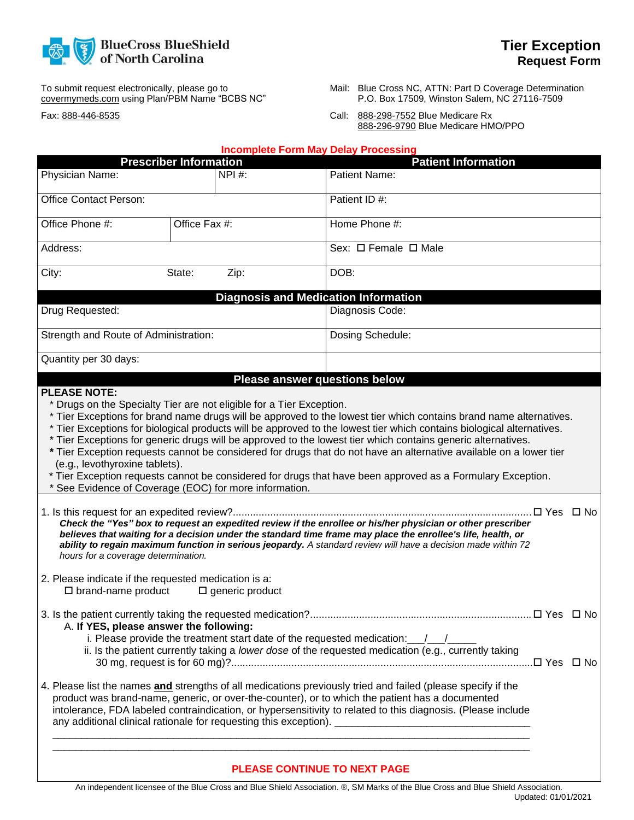

To submit request electronically, please go to covermymeds.com using Plan/PBM Name "BCBS NC"

Fax: 888-446-8535

- Mail: Blue Cross NC, ATTN: Part D Coverage Determination P.O. Box 17509, Winston Salem, NC 27116-7509
- Call: 888-298-7552 Blue Medicare Rx 888-296-9790 Blue Medicare HMO/PPO

|                                                                                                                                                                                                                                                 |                               | <b>Incomplete Form May Delay Processing</b> |                                                                                                                                                                                                                                                                                                                                                                                                                                                                           |  |
|-------------------------------------------------------------------------------------------------------------------------------------------------------------------------------------------------------------------------------------------------|-------------------------------|---------------------------------------------|---------------------------------------------------------------------------------------------------------------------------------------------------------------------------------------------------------------------------------------------------------------------------------------------------------------------------------------------------------------------------------------------------------------------------------------------------------------------------|--|
|                                                                                                                                                                                                                                                 | <b>Prescriber Information</b> |                                             | <b>Patient Information</b>                                                                                                                                                                                                                                                                                                                                                                                                                                                |  |
| Physician Name:                                                                                                                                                                                                                                 |                               | NPI #:                                      | Patient Name:                                                                                                                                                                                                                                                                                                                                                                                                                                                             |  |
| Office Contact Person:                                                                                                                                                                                                                          |                               |                                             | Patient ID #:                                                                                                                                                                                                                                                                                                                                                                                                                                                             |  |
| Office Phone #:<br>Office Fax #:                                                                                                                                                                                                                |                               |                                             | Home Phone #:                                                                                                                                                                                                                                                                                                                                                                                                                                                             |  |
| Address:                                                                                                                                                                                                                                        |                               |                                             | Sex: $\Box$ Female $\Box$ Male                                                                                                                                                                                                                                                                                                                                                                                                                                            |  |
| City:<br>Zip:<br>State:                                                                                                                                                                                                                         |                               |                                             | DOB:                                                                                                                                                                                                                                                                                                                                                                                                                                                                      |  |
|                                                                                                                                                                                                                                                 |                               |                                             | <b>Diagnosis and Medication Information</b>                                                                                                                                                                                                                                                                                                                                                                                                                               |  |
| Drug Requested:                                                                                                                                                                                                                                 |                               |                                             | Diagnosis Code:                                                                                                                                                                                                                                                                                                                                                                                                                                                           |  |
| Strength and Route of Administration:                                                                                                                                                                                                           |                               |                                             | Dosing Schedule:                                                                                                                                                                                                                                                                                                                                                                                                                                                          |  |
| Quantity per 30 days:                                                                                                                                                                                                                           |                               |                                             |                                                                                                                                                                                                                                                                                                                                                                                                                                                                           |  |
|                                                                                                                                                                                                                                                 |                               | <b>Please answer questions below</b>        |                                                                                                                                                                                                                                                                                                                                                                                                                                                                           |  |
| (e.g., levothyroxine tablets).<br>* See Evidence of Coverage (EOC) for more information.                                                                                                                                                        |                               |                                             | * Tier Exceptions for biological products will be approved to the lowest tier which contains biological alternatives.<br>* Tier Exceptions for generic drugs will be approved to the lowest tier which contains generic alternatives.<br>* Tier Exception requests cannot be considered for drugs that do not have an alternative available on a lower tier<br>* Tier Exception requests cannot be considered for drugs that have been approved as a Formulary Exception. |  |
| hours for a coverage determination.<br>2. Please indicate if the requested medication is a:                                                                                                                                                     |                               |                                             | Check the "Yes" box to request an expedited review if the enrollee or his/her physician or other prescriber<br>believes that waiting for a decision under the standard time frame may place the enrollee's life, health, or<br>ability to regain maximum function in serious jeopardy. A standard review will have a decision made within 72                                                                                                                              |  |
| $\square$ brand-name product                                                                                                                                                                                                                    |                               | $\square$ generic product                   |                                                                                                                                                                                                                                                                                                                                                                                                                                                                           |  |
| A. If YES, please answer the following:<br>i. Please provide the treatment start date of the requested medication: $\frac{1}{\sqrt{2}}$<br>ii. Is the patient currently taking a lower dose of the requested medication (e.g., currently taking |                               |                                             |                                                                                                                                                                                                                                                                                                                                                                                                                                                                           |  |
|                                                                                                                                                                                                                                                 |                               |                                             | 4. Please list the names and strengths of all medications previously tried and failed (please specify if the<br>product was brand-name, generic, or over-the-counter), or to which the patient has a documented<br>intolerance, FDA labeled contraindication, or hypersensitivity to related to this diagnosis. (Please include                                                                                                                                           |  |
|                                                                                                                                                                                                                                                 |                               |                                             | PLEASE CONTINUE TO NEXT PAGE                                                                                                                                                                                                                                                                                                                                                                                                                                              |  |